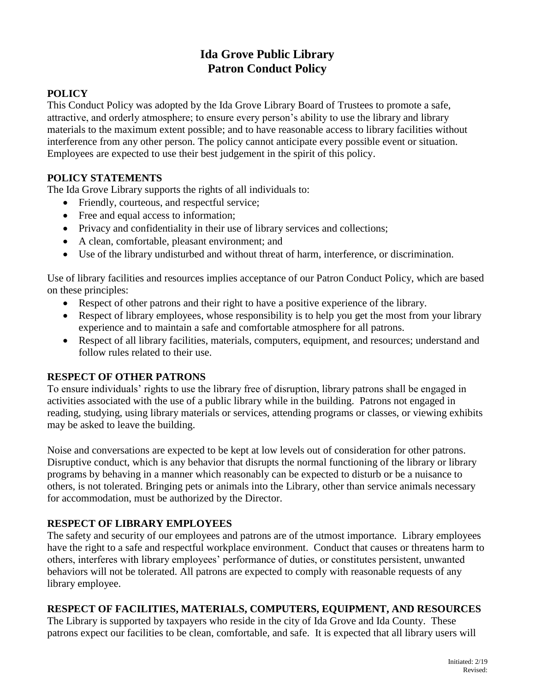# **Ida Grove Public Library Patron Conduct Policy**

# **POLICY**

This Conduct Policy was adopted by the Ida Grove Library Board of Trustees to promote a safe, attractive, and orderly atmosphere; to ensure every person's ability to use the library and library materials to the maximum extent possible; and to have reasonable access to library facilities without interference from any other person. The policy cannot anticipate every possible event or situation. Employees are expected to use their best judgement in the spirit of this policy.

## **POLICY STATEMENTS**

The Ida Grove Library supports the rights of all individuals to:

- Friendly, courteous, and respectful service;
- Free and equal access to information;
- Privacy and confidentiality in their use of library services and collections;
- A clean, comfortable, pleasant environment; and
- Use of the library undisturbed and without threat of harm, interference, or discrimination.

Use of library facilities and resources implies acceptance of our Patron Conduct Policy, which are based on these principles:

- Respect of other patrons and their right to have a positive experience of the library.
- Respect of library employees, whose responsibility is to help you get the most from your library experience and to maintain a safe and comfortable atmosphere for all patrons.
- Respect of all library facilities, materials, computers, equipment, and resources; understand and follow rules related to their use.

#### **RESPECT OF OTHER PATRONS**

To ensure individuals' rights to use the library free of disruption, library patrons shall be engaged in activities associated with the use of a public library while in the building. Patrons not engaged in reading, studying, using library materials or services, attending programs or classes, or viewing exhibits may be asked to leave the building.

Noise and conversations are expected to be kept at low levels out of consideration for other patrons. Disruptive conduct, which is any behavior that disrupts the normal functioning of the library or library programs by behaving in a manner which reasonably can be expected to disturb or be a nuisance to others, is not tolerated. Bringing pets or animals into the Library, other than service animals necessary for accommodation, must be authorized by the Director.

#### **RESPECT OF LIBRARY EMPLOYEES**

The safety and security of our employees and patrons are of the utmost importance. Library employees have the right to a safe and respectful workplace environment. Conduct that causes or threatens harm to others, interferes with library employees' performance of duties, or constitutes persistent, unwanted behaviors will not be tolerated. All patrons are expected to comply with reasonable requests of any library employee.

#### **RESPECT OF FACILITIES, MATERIALS, COMPUTERS, EQUIPMENT, AND RESOURCES**

The Library is supported by taxpayers who reside in the city of Ida Grove and Ida County. These patrons expect our facilities to be clean, comfortable, and safe. It is expected that all library users will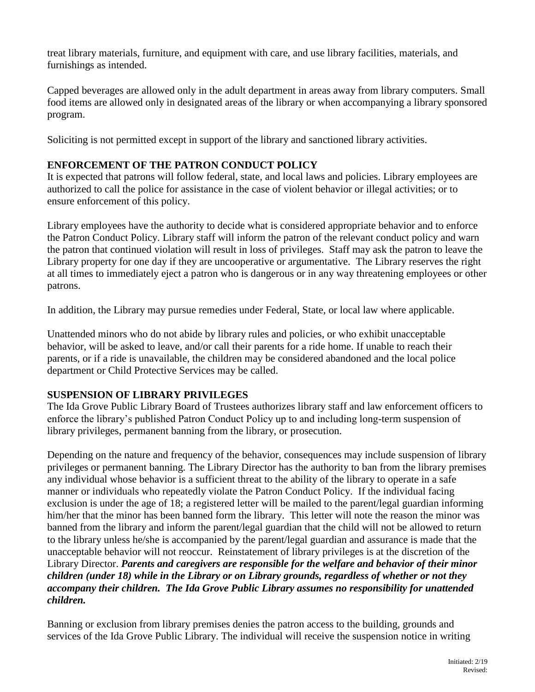treat library materials, furniture, and equipment with care, and use library facilities, materials, and furnishings as intended.

Capped beverages are allowed only in the adult department in areas away from library computers. Small food items are allowed only in designated areas of the library or when accompanying a library sponsored program.

Soliciting is not permitted except in support of the library and sanctioned library activities.

## **ENFORCEMENT OF THE PATRON CONDUCT POLICY**

It is expected that patrons will follow federal, state, and local laws and policies. Library employees are authorized to call the police for assistance in the case of violent behavior or illegal activities; or to ensure enforcement of this policy.

Library employees have the authority to decide what is considered appropriate behavior and to enforce the Patron Conduct Policy. Library staff will inform the patron of the relevant conduct policy and warn the patron that continued violation will result in loss of privileges. Staff may ask the patron to leave the Library property for one day if they are uncooperative or argumentative. The Library reserves the right at all times to immediately eject a patron who is dangerous or in any way threatening employees or other patrons.

In addition, the Library may pursue remedies under Federal, State, or local law where applicable.

Unattended minors who do not abide by library rules and policies, or who exhibit unacceptable behavior, will be asked to leave, and/or call their parents for a ride home. If unable to reach their parents, or if a ride is unavailable, the children may be considered abandoned and the local police department or Child Protective Services may be called.

#### **SUSPENSION OF LIBRARY PRIVILEGES**

The Ida Grove Public Library Board of Trustees authorizes library staff and law enforcement officers to enforce the library's published Patron Conduct Policy up to and including long-term suspension of library privileges, permanent banning from the library, or prosecution.

Depending on the nature and frequency of the behavior, consequences may include suspension of library privileges or permanent banning. The Library Director has the authority to ban from the library premises any individual whose behavior is a sufficient threat to the ability of the library to operate in a safe manner or individuals who repeatedly violate the Patron Conduct Policy. If the individual facing exclusion is under the age of 18; a registered letter will be mailed to the parent/legal guardian informing him/her that the minor has been banned form the library. This letter will note the reason the minor was banned from the library and inform the parent/legal guardian that the child will not be allowed to return to the library unless he/she is accompanied by the parent/legal guardian and assurance is made that the unacceptable behavior will not reoccur. Reinstatement of library privileges is at the discretion of the Library Director. *Parents and caregivers are responsible for the welfare and behavior of their minor children (under 18) while in the Library or on Library grounds, regardless of whether or not they accompany their children. The Ida Grove Public Library assumes no responsibility for unattended children.*

Banning or exclusion from library premises denies the patron access to the building, grounds and services of the Ida Grove Public Library. The individual will receive the suspension notice in writing